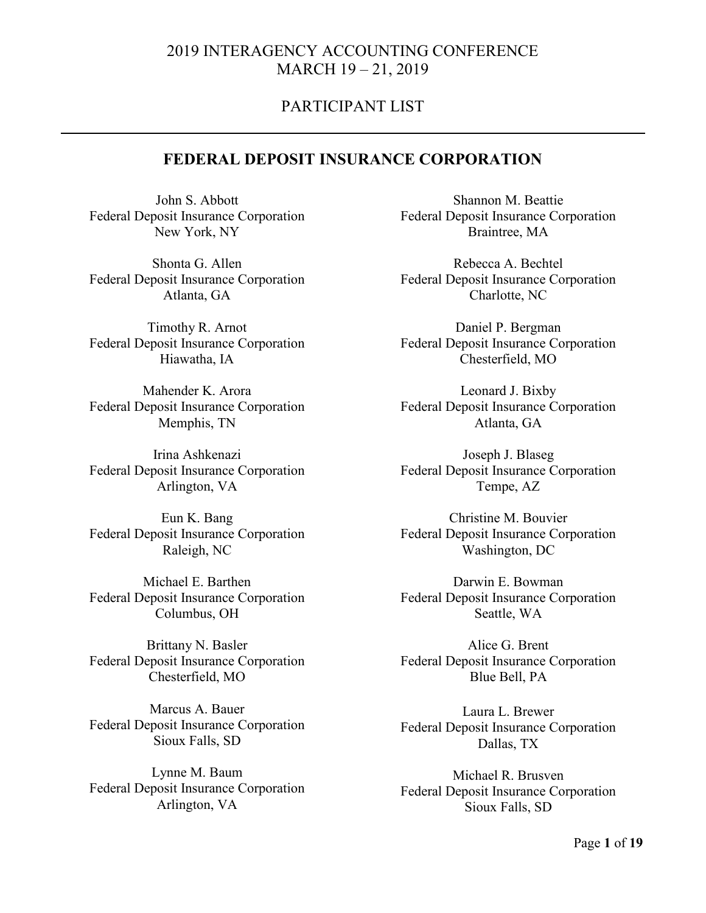### PARTICIPANT LIST

#### **FEDERAL DEPOSIT INSURANCE CORPORATION**

John S. Abbott Federal Deposit Insurance Corporation New York, NY

Shonta G. Allen Federal Deposit Insurance Corporation Atlanta, GA

Timothy R. Arnot Federal Deposit Insurance Corporation Hiawatha, IA

Mahender K. Arora Federal Deposit Insurance Corporation Memphis, TN

Irina Ashkenazi Federal Deposit Insurance Corporation Arlington, VA

Eun K. Bang Federal Deposit Insurance Corporation Raleigh, NC

Michael E. Barthen Federal Deposit Insurance Corporation Columbus, OH

Brittany N. Basler Federal Deposit Insurance Corporation Chesterfield, MO

Marcus A. Bauer Federal Deposit Insurance Corporation Sioux Falls, SD

Lynne M. Baum Federal Deposit Insurance Corporation Arlington, VA

Shannon M. Beattie Federal Deposit Insurance Corporation Braintree, MA

Rebecca A. Bechtel Federal Deposit Insurance Corporation Charlotte, NC

Daniel P. Bergman Federal Deposit Insurance Corporation Chesterfield, MO

Leonard J. Bixby Federal Deposit Insurance Corporation Atlanta, GA

Joseph J. Blaseg Federal Deposit Insurance Corporation Tempe, AZ

Christine M. Bouvier Federal Deposit Insurance Corporation Washington, DC

Darwin E. Bowman Federal Deposit Insurance Corporation Seattle, WA

Alice G. Brent Federal Deposit Insurance Corporation Blue Bell, PA

Laura L. Brewer Federal Deposit Insurance Corporation Dallas, TX

Michael R. Brusven Federal Deposit Insurance Corporation Sioux Falls, SD

Page **1** of **19**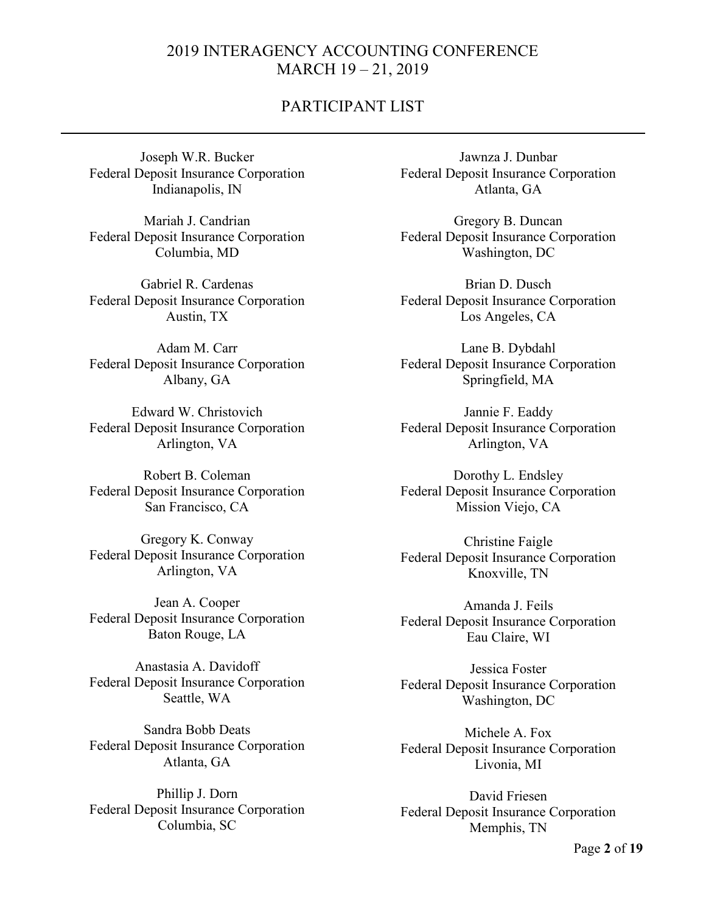### PARTICIPANT LIST

Joseph W.R. Bucker Federal Deposit Insurance Corporation Indianapolis, IN

Mariah J. Candrian Federal Deposit Insurance Corporation Columbia, MD

Gabriel R. Cardenas Federal Deposit Insurance Corporation Austin, TX

Adam M. Carr Federal Deposit Insurance Corporation Albany, GA

Edward W. Christovich Federal Deposit Insurance Corporation Arlington, VA

Robert B. Coleman Federal Deposit Insurance Corporation San Francisco, CA

Gregory K. Conway Federal Deposit Insurance Corporation Arlington, VA

Jean A. Cooper Federal Deposit Insurance Corporation Baton Rouge, LA

Anastasia A. Davidoff Federal Deposit Insurance Corporation Seattle, WA

Sandra Bobb Deats Federal Deposit Insurance Corporation Atlanta, GA

Phillip J. Dorn Federal Deposit Insurance Corporation Columbia, SC

Jawnza J. Dunbar Federal Deposit Insurance Corporation Atlanta, GA

Gregory B. Duncan Federal Deposit Insurance Corporation Washington, DC

Brian D. Dusch Federal Deposit Insurance Corporation Los Angeles, CA

Lane B. Dybdahl Federal Deposit Insurance Corporation Springfield, MA

Jannie F. Eaddy Federal Deposit Insurance Corporation Arlington, VA

Dorothy L. Endsley Federal Deposit Insurance Corporation Mission Viejo, CA

Christine Faigle Federal Deposit Insurance Corporation Knoxville, TN

Amanda J. Feils Federal Deposit Insurance Corporation Eau Claire, WI

Jessica Foster Federal Deposit Insurance Corporation Washington, DC

Michele A. Fox Federal Deposit Insurance Corporation Livonia, MI

David Friesen Federal Deposit Insurance Corporation Memphis, TN

Page **2** of **19**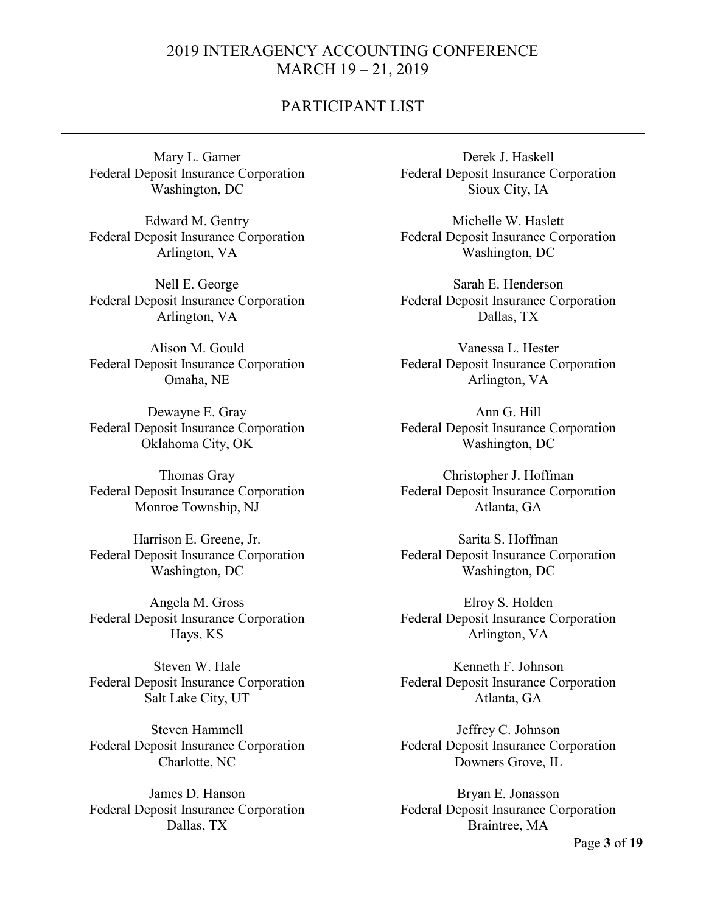### PARTICIPANT LIST

Mary L. Garner Federal Deposit Insurance Corporation Washington, DC

Edward M. Gentry Federal Deposit Insurance Corporation Arlington, VA

Nell E. George Federal Deposit Insurance Corporation Arlington, VA

Alison M. Gould Federal Deposit Insurance Corporation Omaha, NE

Dewayne E. Gray Federal Deposit Insurance Corporation Oklahoma City, OK

Thomas Gray Federal Deposit Insurance Corporation Monroe Township, NJ

Harrison E. Greene, Jr. Federal Deposit Insurance Corporation Washington, DC

Angela M. Gross Federal Deposit Insurance Corporation Hays, KS

Steven W. Hale Federal Deposit Insurance Corporation Salt Lake City, UT

Steven Hammell Federal Deposit Insurance Corporation Charlotte, NC

James D. Hanson Federal Deposit Insurance Corporation Dallas, TX

Derek J. Haskell Federal Deposit Insurance Corporation Sioux City, IA

Michelle W. Haslett Federal Deposit Insurance Corporation Washington, DC

Sarah E. Henderson Federal Deposit Insurance Corporation Dallas, TX

Vanessa L. Hester Federal Deposit Insurance Corporation Arlington, VA

Ann G. Hill Federal Deposit Insurance Corporation Washington, DC

Christopher J. Hoffman Federal Deposit Insurance Corporation Atlanta, GA

Sarita S. Hoffman Federal Deposit Insurance Corporation Washington, DC

Elroy S. Holden Federal Deposit Insurance Corporation Arlington, VA

Kenneth F. Johnson Federal Deposit Insurance Corporation Atlanta, GA

Jeffrey C. Johnson Federal Deposit Insurance Corporation Downers Grove, IL

Bryan E. Jonasson Federal Deposit Insurance Corporation Braintree, MA

Page **3** of **19**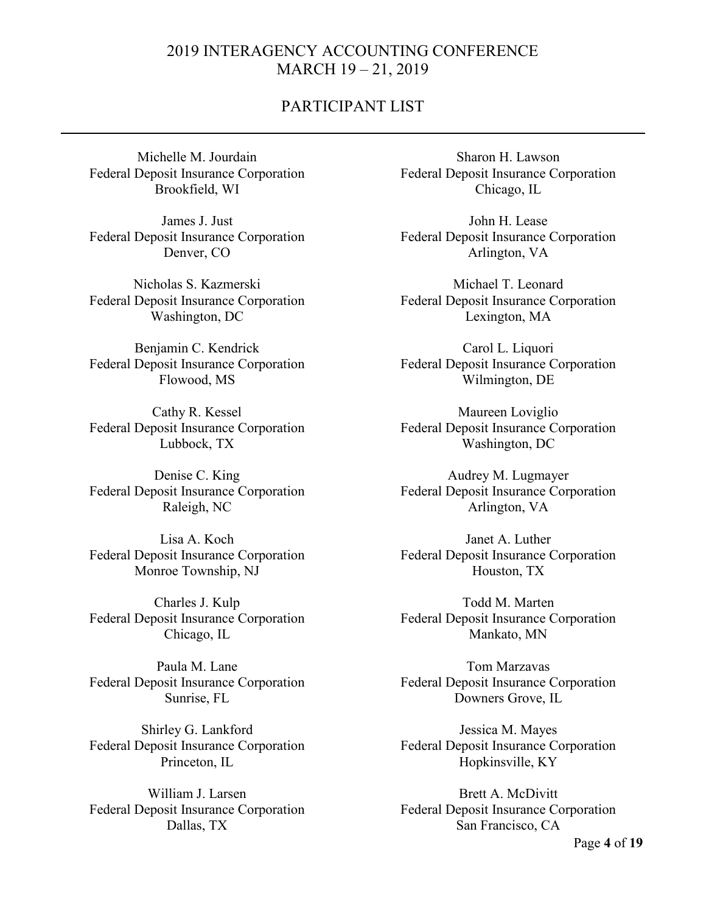### PARTICIPANT LIST

Michelle M. Jourdain Federal Deposit Insurance Corporation Brookfield, WI

James J. Just Federal Deposit Insurance Corporation Denver, CO

Nicholas S. Kazmerski Federal Deposit Insurance Corporation Washington, DC

Benjamin C. Kendrick Federal Deposit Insurance Corporation Flowood, MS

Cathy R. Kessel Federal Deposit Insurance Corporation Lubbock, TX

Denise C. King Federal Deposit Insurance Corporation Raleigh, NC

Lisa A. Koch Federal Deposit Insurance Corporation Monroe Township, NJ

Charles J. Kulp Federal Deposit Insurance Corporation Chicago, IL

Paula M. Lane Federal Deposit Insurance Corporation Sunrise, FL

Shirley G. Lankford Federal Deposit Insurance Corporation Princeton, IL

William J. Larsen Federal Deposit Insurance Corporation Dallas, TX

Sharon H. Lawson Federal Deposit Insurance Corporation Chicago, IL

John H. Lease Federal Deposit Insurance Corporation Arlington, VA

Michael T. Leonard Federal Deposit Insurance Corporation Lexington, MA

Carol L. Liquori Federal Deposit Insurance Corporation Wilmington, DE

Maureen Loviglio Federal Deposit Insurance Corporation Washington, DC

Audrey M. Lugmayer Federal Deposit Insurance Corporation Arlington, VA

Janet A. Luther Federal Deposit Insurance Corporation Houston, TX

Todd M. Marten Federal Deposit Insurance Corporation Mankato, MN

Tom Marzavas Federal Deposit Insurance Corporation Downers Grove, IL

Jessica M. Mayes Federal Deposit Insurance Corporation Hopkinsville, KY

Brett A. McDivitt Federal Deposit Insurance Corporation San Francisco, CA

Page **4** of **19**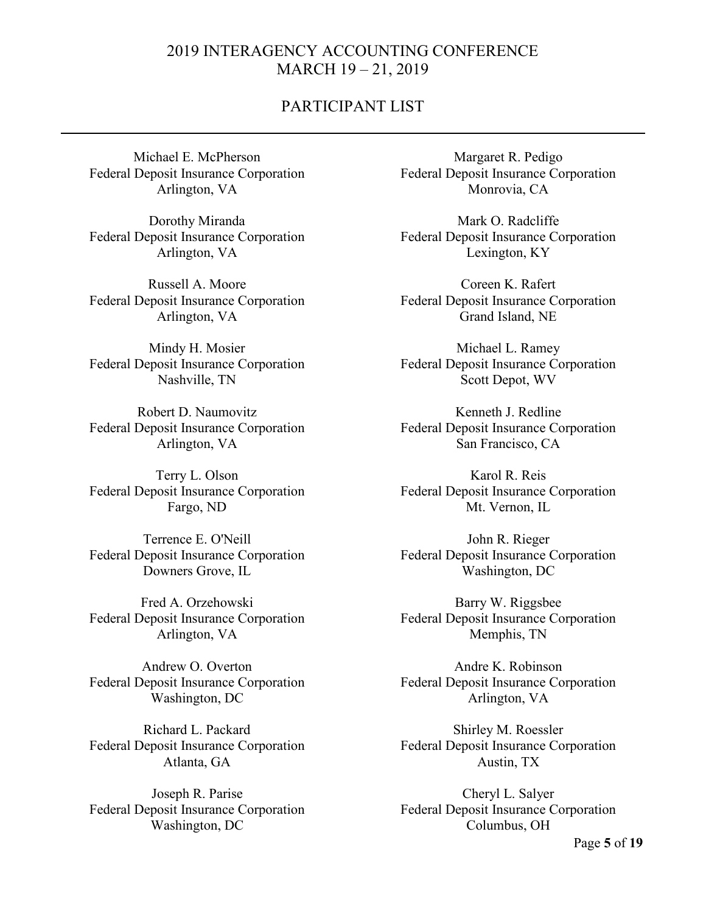### PARTICIPANT LIST

Michael E. McPherson Federal Deposit Insurance Corporation Arlington, VA

Dorothy Miranda Federal Deposit Insurance Corporation Arlington, VA

Russell A. Moore Federal Deposit Insurance Corporation Arlington, VA

Mindy H. Mosier Federal Deposit Insurance Corporation Nashville, TN

Robert D. Naumovitz Federal Deposit Insurance Corporation Arlington, VA

Terry L. Olson Federal Deposit Insurance Corporation Fargo, ND

Terrence E. O'Neill Federal Deposit Insurance Corporation Downers Grove, IL

Fred A. Orzehowski Federal Deposit Insurance Corporation Arlington, VA

Andrew O. Overton Federal Deposit Insurance Corporation Washington, DC

Richard L. Packard Federal Deposit Insurance Corporation Atlanta, GA

Joseph R. Parise Federal Deposit Insurance Corporation Washington, DC

Margaret R. Pedigo Federal Deposit Insurance Corporation Monrovia, CA

Mark O. Radcliffe Federal Deposit Insurance Corporation Lexington, KY

Coreen K. Rafert Federal Deposit Insurance Corporation Grand Island, NE

Michael L. Ramey Federal Deposit Insurance Corporation Scott Depot, WV

Kenneth J. Redline Federal Deposit Insurance Corporation San Francisco, CA

Karol R. Reis Federal Deposit Insurance Corporation Mt. Vernon, IL

John R. Rieger Federal Deposit Insurance Corporation Washington, DC

Barry W. Riggsbee Federal Deposit Insurance Corporation Memphis, TN

Andre K. Robinson Federal Deposit Insurance Corporation Arlington, VA

Shirley M. Roessler Federal Deposit Insurance Corporation Austin, TX

Cheryl L. Salyer Federal Deposit Insurance Corporation Columbus, OH

Page **5** of **19**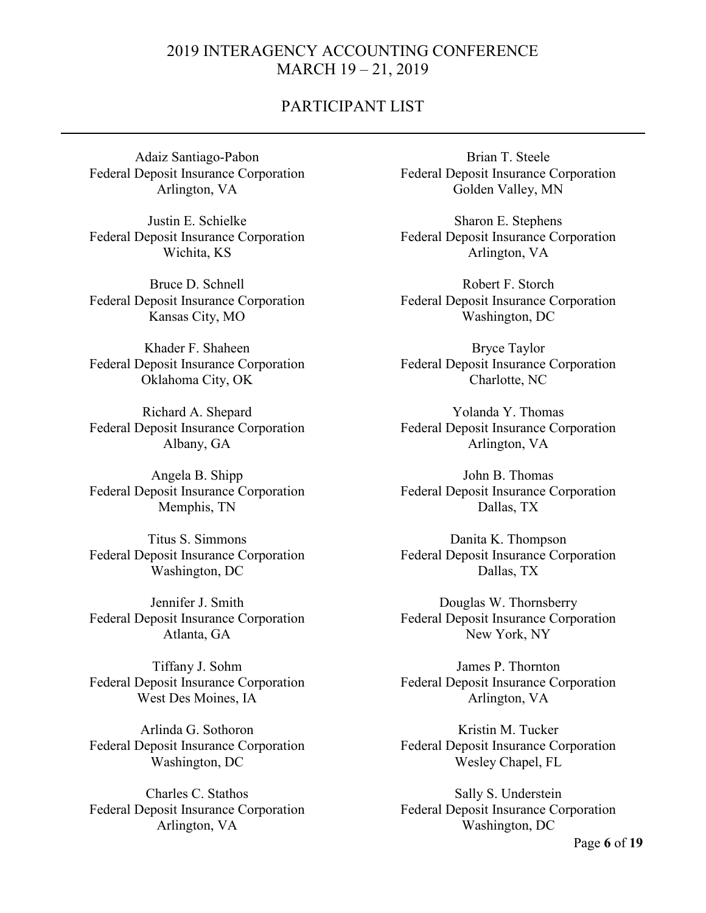### PARTICIPANT LIST

Adaiz Santiago-Pabon Federal Deposit Insurance Corporation Arlington, VA

Justin E. Schielke Federal Deposit Insurance Corporation Wichita, KS

Bruce D. Schnell Federal Deposit Insurance Corporation Kansas City, MO

Khader F. Shaheen Federal Deposit Insurance Corporation Oklahoma City, OK

Richard A. Shepard Federal Deposit Insurance Corporation Albany, GA

Angela B. Shipp Federal Deposit Insurance Corporation Memphis, TN

Titus S. Simmons Federal Deposit Insurance Corporation Washington, DC

Jennifer J. Smith Federal Deposit Insurance Corporation Atlanta, GA

Tiffany J. Sohm Federal Deposit Insurance Corporation West Des Moines, IA

Arlinda G. Sothoron Federal Deposit Insurance Corporation Washington, DC

Charles C. Stathos Federal Deposit Insurance Corporation Arlington, VA

Brian T. Steele Federal Deposit Insurance Corporation Golden Valley, MN

Sharon E. Stephens Federal Deposit Insurance Corporation Arlington, VA

Robert F. Storch Federal Deposit Insurance Corporation Washington, DC

Bryce Taylor Federal Deposit Insurance Corporation Charlotte, NC

Yolanda Y. Thomas Federal Deposit Insurance Corporation Arlington, VA

John B. Thomas Federal Deposit Insurance Corporation Dallas, TX

Danita K. Thompson Federal Deposit Insurance Corporation Dallas, TX

Douglas W. Thornsberry Federal Deposit Insurance Corporation New York, NY

James P. Thornton Federal Deposit Insurance Corporation Arlington, VA

Kristin M. Tucker Federal Deposit Insurance Corporation Wesley Chapel, FL

Sally S. Understein Federal Deposit Insurance Corporation Washington, DC

Page **6** of **19**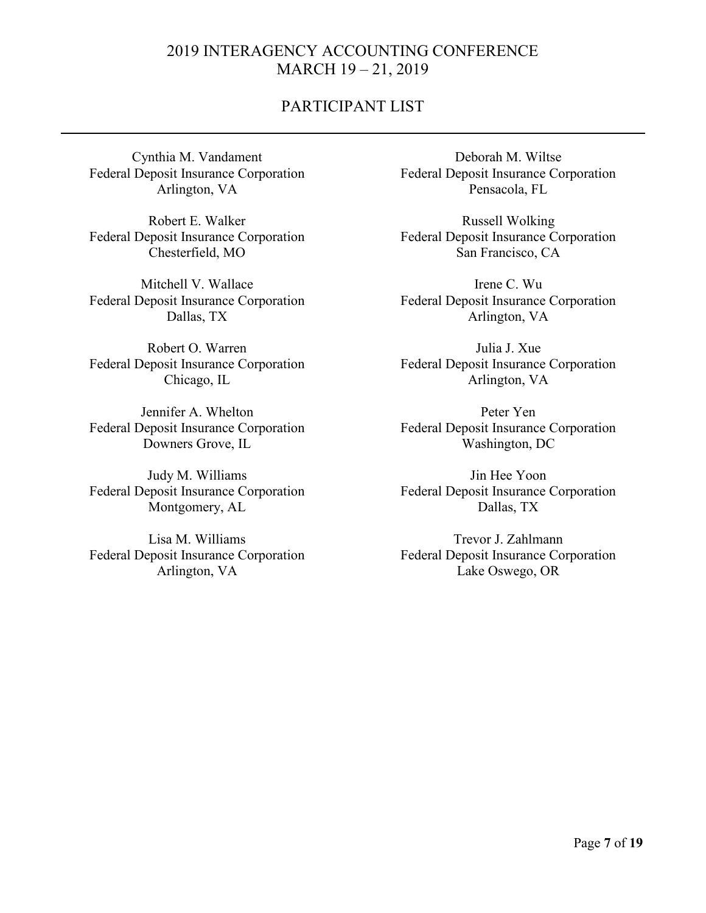# PARTICIPANT LIST

Cynthia M. Vandament Federal Deposit Insurance Corporation Arlington, VA

Robert E. Walker Federal Deposit Insurance Corporation Chesterfield, MO

Mitchell V. Wallace Federal Deposit Insurance Corporation Dallas, TX

Robert O. Warren Federal Deposit Insurance Corporation Chicago, IL

Jennifer A. Whelton Federal Deposit Insurance Corporation Downers Grove, IL

Judy M. Williams Federal Deposit Insurance Corporation Montgomery, AL

Lisa M. Williams Federal Deposit Insurance Corporation Arlington, VA

Deborah M. Wiltse Federal Deposit Insurance Corporation Pensacola, FL

Russell Wolking Federal Deposit Insurance Corporation San Francisco, CA

Irene C. Wu Federal Deposit Insurance Corporation Arlington, VA

Julia J. Xue Federal Deposit Insurance Corporation Arlington, VA

Peter Yen Federal Deposit Insurance Corporation Washington, DC

Jin Hee Yoon Federal Deposit Insurance Corporation Dallas, TX

Trevor J. Zahlmann Federal Deposit Insurance Corporation Lake Oswego, OR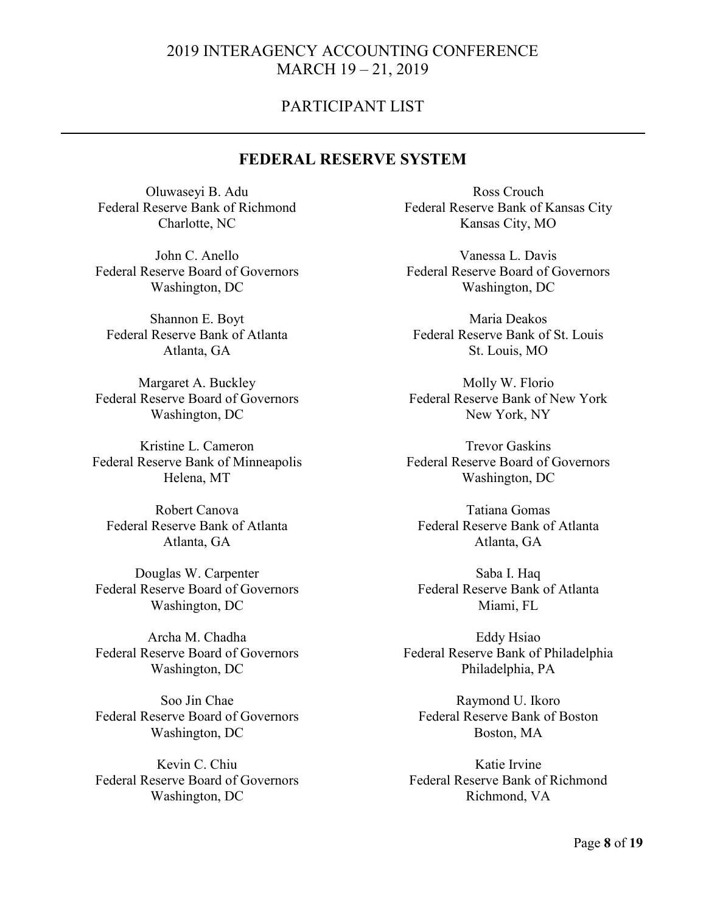### PARTICIPANT LIST

### **FEDERAL RESERVE SYSTEM**

Oluwaseyi B. Adu Federal Reserve Bank of Richmond Charlotte, NC

John C. Anello Federal Reserve Board of Governors Washington, DC

Shannon E. Boyt Federal Reserve Bank of Atlanta Atlanta, GA

Margaret A. Buckley Federal Reserve Board of Governors Washington, DC

Kristine L. Cameron Federal Reserve Bank of Minneapolis Helena, MT

Robert Canova Federal Reserve Bank of Atlanta Atlanta, GA

Douglas W. Carpenter Federal Reserve Board of Governors Washington, DC

Archa M. Chadha Federal Reserve Board of Governors Washington, DC

Soo Jin Chae Federal Reserve Board of Governors Washington, DC

Kevin C. Chiu Federal Reserve Board of Governors Washington, DC

Ross Crouch Federal Reserve Bank of Kansas City Kansas City, MO

Vanessa L. Davis Federal Reserve Board of Governors Washington, DC

Maria Deakos Federal Reserve Bank of St. Louis St. Louis, MO

Molly W. Florio Federal Reserve Bank of New York New York, NY

Trevor Gaskins Federal Reserve Board of Governors Washington, DC

Tatiana Gomas Federal Reserve Bank of Atlanta Atlanta, GA

Saba I. Haq Federal Reserve Bank of Atlanta Miami, FL

Eddy Hsiao Federal Reserve Bank of Philadelphia Philadelphia, PA

Raymond U. Ikoro Federal Reserve Bank of Boston Boston, MA

Katie Irvine Federal Reserve Bank of Richmond Richmond, VA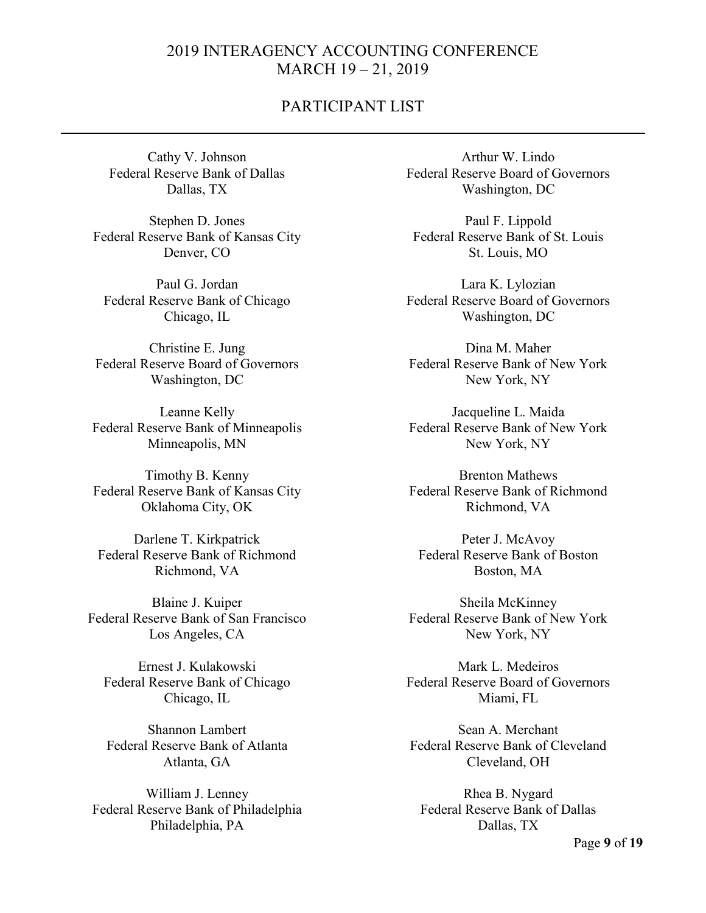### PARTICIPANT LIST

Cathy V. Johnson Federal Reserve Bank of Dallas Dallas, TX

Stephen D. Jones Federal Reserve Bank of Kansas City Denver, CO

Paul G. Jordan Federal Reserve Bank of Chicago Chicago, IL

Christine E. Jung Federal Reserve Board of Governors Washington, DC

Leanne Kelly Federal Reserve Bank of Minneapolis Minneapolis, MN

Timothy B. Kenny Federal Reserve Bank of Kansas City Oklahoma City, OK

Darlene T. Kirkpatrick Federal Reserve Bank of Richmond Richmond, VA

Blaine J. Kuiper Federal Reserve Bank of San Francisco Los Angeles, CA

Ernest J. Kulakowski Federal Reserve Bank of Chicago Chicago, IL

Shannon Lambert Federal Reserve Bank of Atlanta Atlanta, GA

William J. Lenney Federal Reserve Bank of Philadelphia Philadelphia, PA

Arthur W. Lindo Federal Reserve Board of Governors Washington, DC

Paul F. Lippold Federal Reserve Bank of St. Louis St. Louis, MO

Lara K. Lylozian Federal Reserve Board of Governors Washington, DC

Dina M. Maher Federal Reserve Bank of New York New York, NY

Jacqueline L. Maida Federal Reserve Bank of New York New York, NY

Brenton Mathews Federal Reserve Bank of Richmond Richmond, VA

Peter J. McAvoy Federal Reserve Bank of Boston Boston, MA

Sheila McKinney Federal Reserve Bank of New York New York, NY

Mark L. Medeiros Federal Reserve Board of Governors Miami, FL

Sean A. Merchant Federal Reserve Bank of Cleveland Cleveland, OH

Rhea B. Nygard Federal Reserve Bank of Dallas Dallas, TX

Page **9** of **19**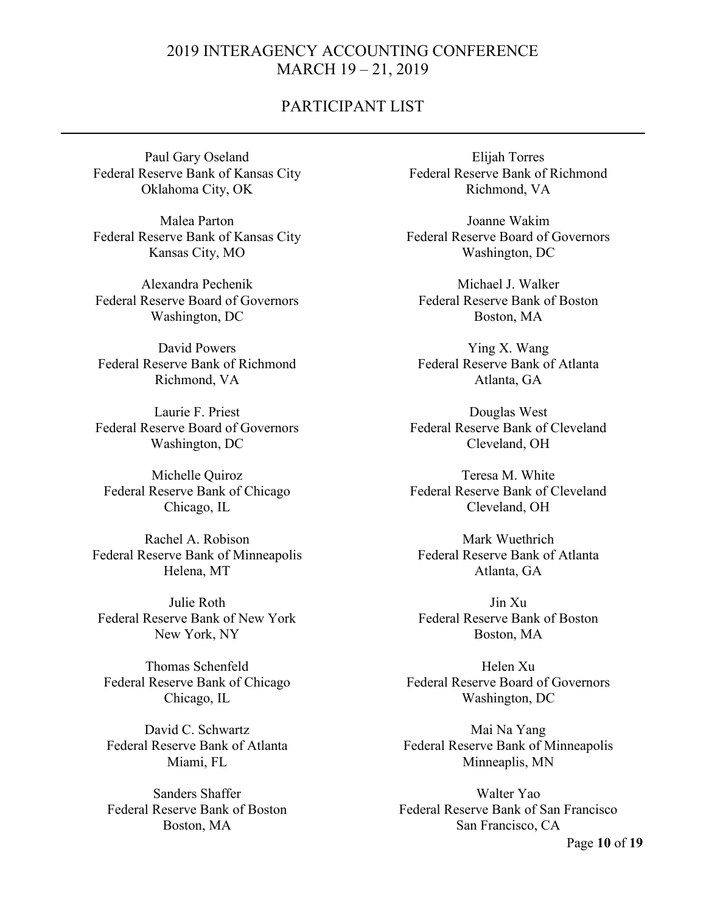### PARTICIPANT LIST

Paul Gary Oseland Federal Reserve Bank of Kansas City Oklahoma City, OK

Malea Parton Federal Reserve Bank of Kansas City Kansas City, MO

Alexandra Pechenik Federal Reserve Board of Governors Washington, DC

David Powers Federal Reserve Bank of Richmond Richmond, VA

Laurie F. Priest Federal Reserve Board of Governors Washington, DC

Michelle Quiroz Federal Reserve Bank of Chicago Chicago, IL

Rachel A. Robison Federal Reserve Bank of Minneapolis Helena, MT

Julie Roth Federal Reserve Bank of New York New York, NY

Thomas Schenfeld Federal Reserve Bank of Chicago Chicago, IL

David C. Schwartz Federal Reserve Bank of Atlanta Miami, FL

Sanders Shaffer Federal Reserve Bank of Boston Boston, MA

Elijah Torres Federal Reserve Bank of Richmond Richmond, VA

Joanne Wakim Federal Reserve Board of Governors Washington, DC

Michael J. Walker Federal Reserve Bank of Boston Boston, MA

Ying X. Wang Federal Reserve Bank of Atlanta Atlanta, GA

Douglas West Federal Reserve Bank of Cleveland Cleveland, OH

Teresa M. White Federal Reserve Bank of Cleveland Cleveland, OH

Mark Wuethrich Federal Reserve Bank of Atlanta Atlanta, GA

Jin Xu Federal Reserve Bank of Boston Boston, MA

Helen Xu Federal Reserve Board of Governors Washington, DC

Mai Na Yang Federal Reserve Bank of Minneapolis Minneaplis, MN

Walter Yao Federal Reserve Bank of San Francisco San Francisco, CA

Page **10** of **19**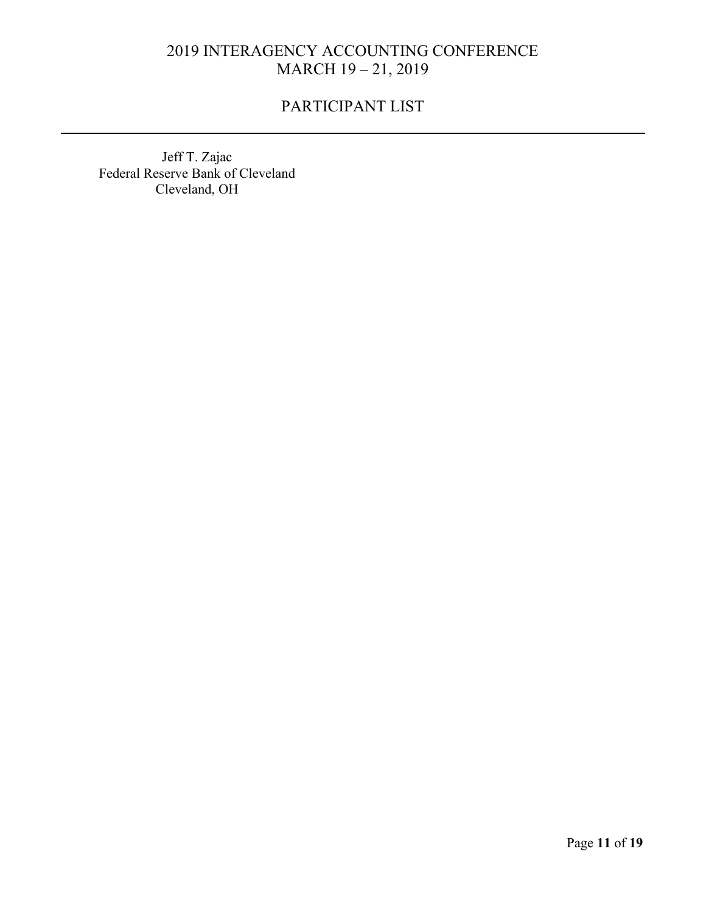# PARTICIPANT LIST

Jeff T. Zajac Federal Reserve Bank of Cleveland Cleveland, OH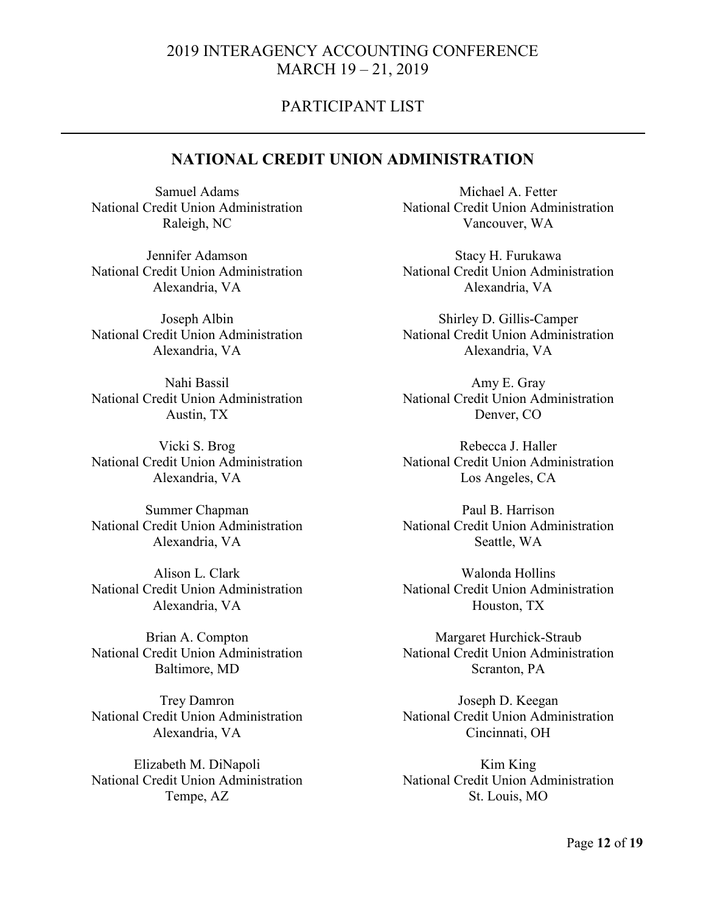### PARTICIPANT LIST

### **NATIONAL CREDIT UNION ADMINISTRATION**

Samuel Adams National Credit Union Administration Raleigh, NC

Jennifer Adamson National Credit Union Administration Alexandria, VA

Joseph Albin National Credit Union Administration Alexandria, VA

Nahi Bassil National Credit Union Administration Austin, TX

Vicki S. Brog National Credit Union Administration Alexandria, VA

Summer Chapman National Credit Union Administration Alexandria, VA

Alison L. Clark National Credit Union Administration Alexandria, VA

Brian A. Compton National Credit Union Administration Baltimore, MD

Trey Damron National Credit Union Administration Alexandria, VA

Elizabeth M. DiNapoli National Credit Union Administration Tempe, AZ

Michael A. Fetter National Credit Union Administration Vancouver, WA

Stacy H. Furukawa National Credit Union Administration Alexandria, VA

Shirley D. Gillis-Camper National Credit Union Administration Alexandria, VA

Amy E. Gray National Credit Union Administration Denver, CO

Rebecca J. Haller National Credit Union Administration Los Angeles, CA

Paul B. Harrison National Credit Union Administration Seattle, WA

Walonda Hollins National Credit Union Administration Houston, TX

Margaret Hurchick-Straub National Credit Union Administration Scranton, PA

Joseph D. Keegan National Credit Union Administration Cincinnati, OH

Kim King National Credit Union Administration St. Louis, MO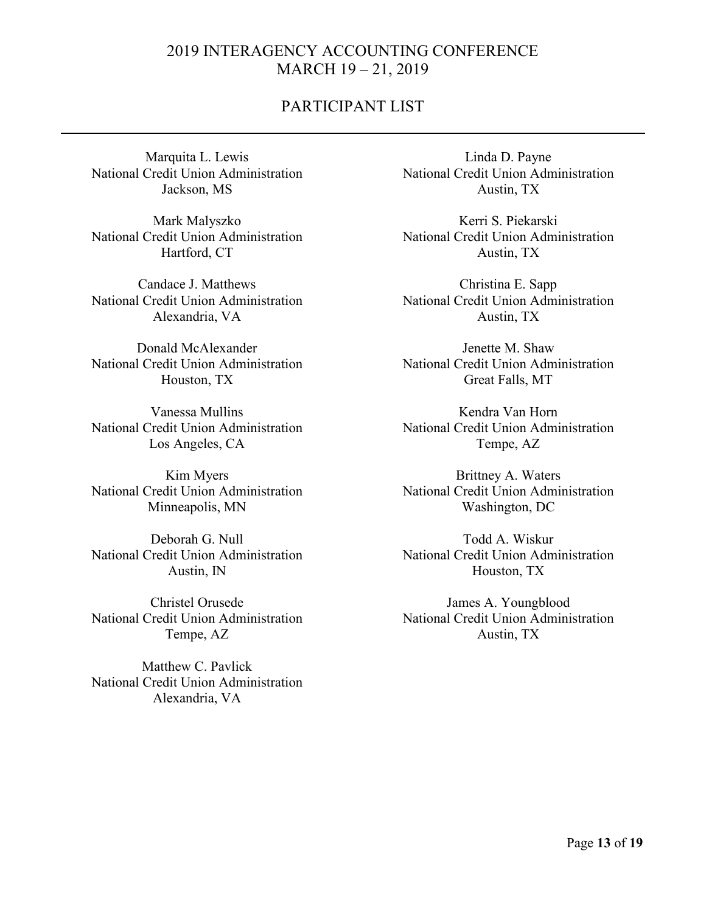### PARTICIPANT LIST

Marquita L. Lewis National Credit Union Administration Jackson, MS

Mark Malyszko National Credit Union Administration Hartford, CT

Candace J. Matthews National Credit Union Administration Alexandria, VA

Donald McAlexander National Credit Union Administration Houston, TX

Vanessa Mullins National Credit Union Administration Los Angeles, CA

Kim Myers National Credit Union Administration Minneapolis, MN

Deborah G. Null National Credit Union Administration Austin, IN

Christel Orusede National Credit Union Administration Tempe, AZ

Matthew C. Pavlick National Credit Union Administration Alexandria, VA

Linda D. Payne National Credit Union Administration Austin, TX

Kerri S. Piekarski National Credit Union Administration Austin, TX

Christina E. Sapp National Credit Union Administration Austin, TX

Jenette M. Shaw National Credit Union Administration Great Falls, MT

Kendra Van Horn National Credit Union Administration Tempe, AZ

Brittney A. Waters National Credit Union Administration Washington, DC

Todd A. Wiskur National Credit Union Administration Houston, TX

James A. Youngblood National Credit Union Administration Austin, TX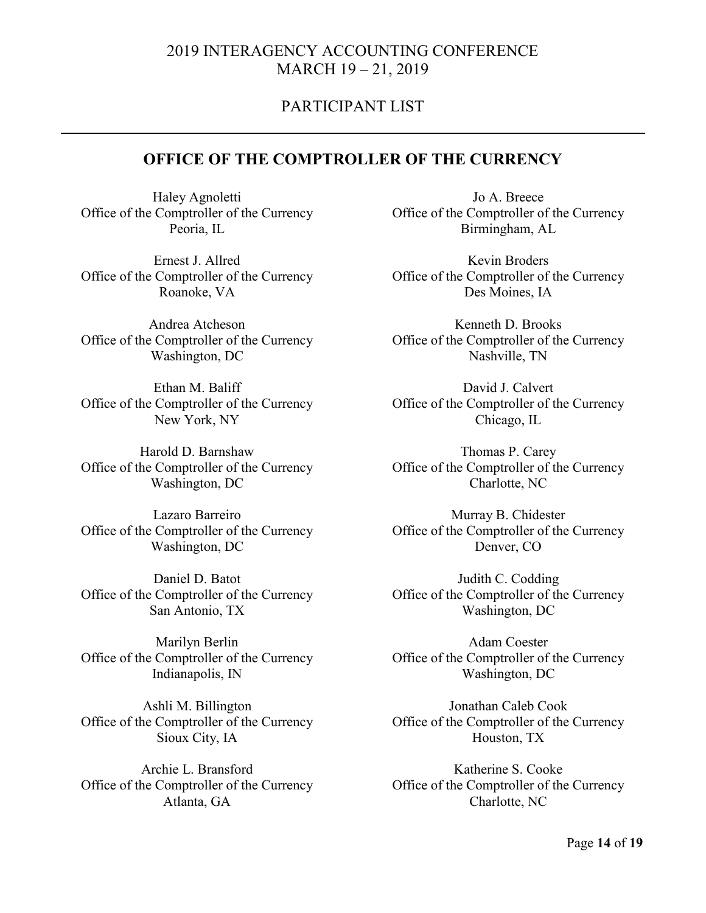### PARTICIPANT LIST

### **OFFICE OF THE COMPTROLLER OF THE CURRENCY**

Haley Agnoletti Office of the Comptroller of the Currency Peoria, IL

Ernest J. Allred Office of the Comptroller of the Currency Roanoke, VA

Andrea Atcheson Office of the Comptroller of the Currency Washington, DC

Ethan M. Baliff Office of the Comptroller of the Currency New York, NY

Harold D. Barnshaw Office of the Comptroller of the Currency Washington, DC

Lazaro Barreiro Office of the Comptroller of the Currency Washington, DC

Daniel D. Batot Office of the Comptroller of the Currency San Antonio, TX

Marilyn Berlin Office of the Comptroller of the Currency Indianapolis, IN

Ashli M. Billington Office of the Comptroller of the Currency Sioux City, IA

Archie L. Bransford Office of the Comptroller of the Currency Atlanta, GA

Jo A. Breece Office of the Comptroller of the Currency Birmingham, AL

Kevin Broders Office of the Comptroller of the Currency Des Moines, IA

Kenneth D. Brooks Office of the Comptroller of the Currency Nashville, TN

David J. Calvert Office of the Comptroller of the Currency Chicago, IL

Thomas P. Carey Office of the Comptroller of the Currency Charlotte, NC

Murray B. Chidester Office of the Comptroller of the Currency Denver, CO

Judith C. Codding Office of the Comptroller of the Currency Washington, DC

Adam Coester Office of the Comptroller of the Currency Washington, DC

Jonathan Caleb Cook Office of the Comptroller of the Currency Houston, TX

Katherine S. Cooke Office of the Comptroller of the Currency Charlotte, NC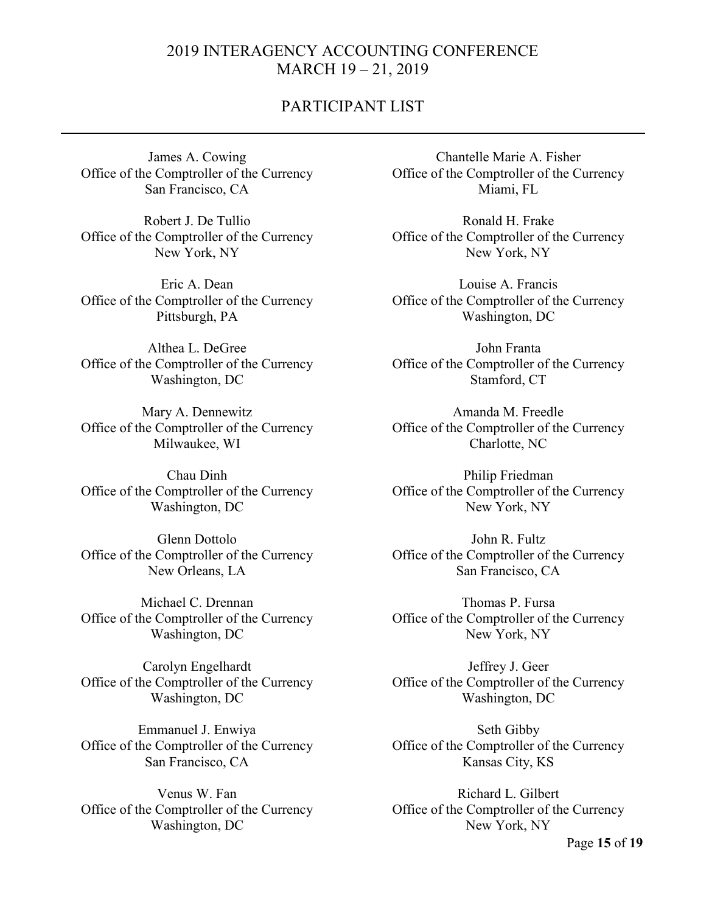### PARTICIPANT LIST

James A. Cowing Office of the Comptroller of the Currency San Francisco, CA

Robert J. De Tullio Office of the Comptroller of the Currency New York, NY

Eric A. Dean Office of the Comptroller of the Currency Pittsburgh, PA

Althea L. DeGree Office of the Comptroller of the Currency Washington, DC

Mary A. Dennewitz Office of the Comptroller of the Currency Milwaukee, WI

Chau Dinh Office of the Comptroller of the Currency Washington, DC

Glenn Dottolo Office of the Comptroller of the Currency New Orleans, LA

Michael C. Drennan Office of the Comptroller of the Currency Washington, DC

Carolyn Engelhardt Office of the Comptroller of the Currency Washington, DC

Emmanuel J. Enwiya Office of the Comptroller of the Currency San Francisco, CA

Venus W. Fan Office of the Comptroller of the Currency Washington, DC

Chantelle Marie A. Fisher Office of the Comptroller of the Currency Miami, FL

Ronald H. Frake Office of the Comptroller of the Currency New York, NY

Louise A. Francis Office of the Comptroller of the Currency Washington, DC

John Franta Office of the Comptroller of the Currency Stamford, CT

Amanda M. Freedle Office of the Comptroller of the Currency Charlotte, NC

Philip Friedman Office of the Comptroller of the Currency New York, NY

John R. Fultz Office of the Comptroller of the Currency San Francisco, CA

Thomas P. Fursa Office of the Comptroller of the Currency New York, NY

Jeffrey J. Geer Office of the Comptroller of the Currency Washington, DC

Seth Gibby Office of the Comptroller of the Currency Kansas City, KS

Richard L. Gilbert Office of the Comptroller of the Currency New York, NY

Page **15** of **19**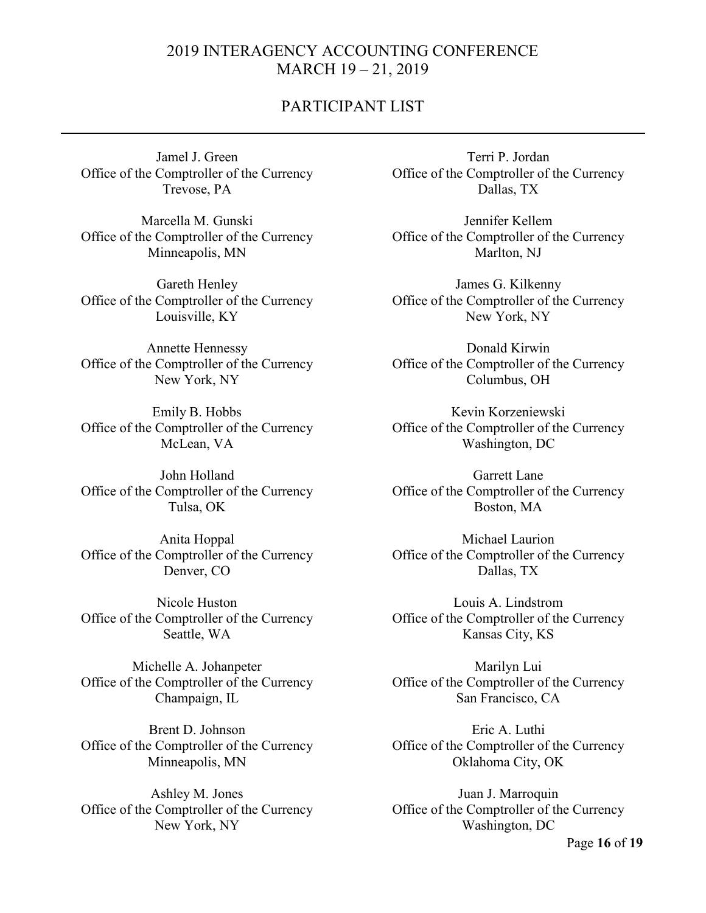### PARTICIPANT LIST

Jamel J. Green Office of the Comptroller of the Currency Trevose, PA

Marcella M. Gunski Office of the Comptroller of the Currency Minneapolis, MN

Gareth Henley Office of the Comptroller of the Currency Louisville, KY

Annette Hennessy Office of the Comptroller of the Currency New York, NY

Emily B. Hobbs Office of the Comptroller of the Currency McLean, VA

John Holland Office of the Comptroller of the Currency Tulsa, OK

Anita Hoppal Office of the Comptroller of the Currency Denver, CO

Nicole Huston Office of the Comptroller of the Currency Seattle, WA

Michelle A. Johanpeter Office of the Comptroller of the Currency Champaign, IL

Brent D. Johnson Office of the Comptroller of the Currency Minneapolis, MN

Ashley M. Jones Office of the Comptroller of the Currency New York, NY

Terri P. Jordan Office of the Comptroller of the Currency Dallas, TX

Jennifer Kellem Office of the Comptroller of the Currency Marlton, NJ

James G. Kilkenny Office of the Comptroller of the Currency New York, NY

Donald Kirwin Office of the Comptroller of the Currency Columbus, OH

Kevin Korzeniewski Office of the Comptroller of the Currency Washington, DC

Garrett Lane Office of the Comptroller of the Currency Boston, MA

Michael Laurion Office of the Comptroller of the Currency Dallas, TX

Louis A. Lindstrom Office of the Comptroller of the Currency Kansas City, KS

Marilyn Lui Office of the Comptroller of the Currency San Francisco, CA

Eric A. Luthi Office of the Comptroller of the Currency Oklahoma City, OK

Juan J. Marroquin Office of the Comptroller of the Currency Washington, DC

Page **16** of **19**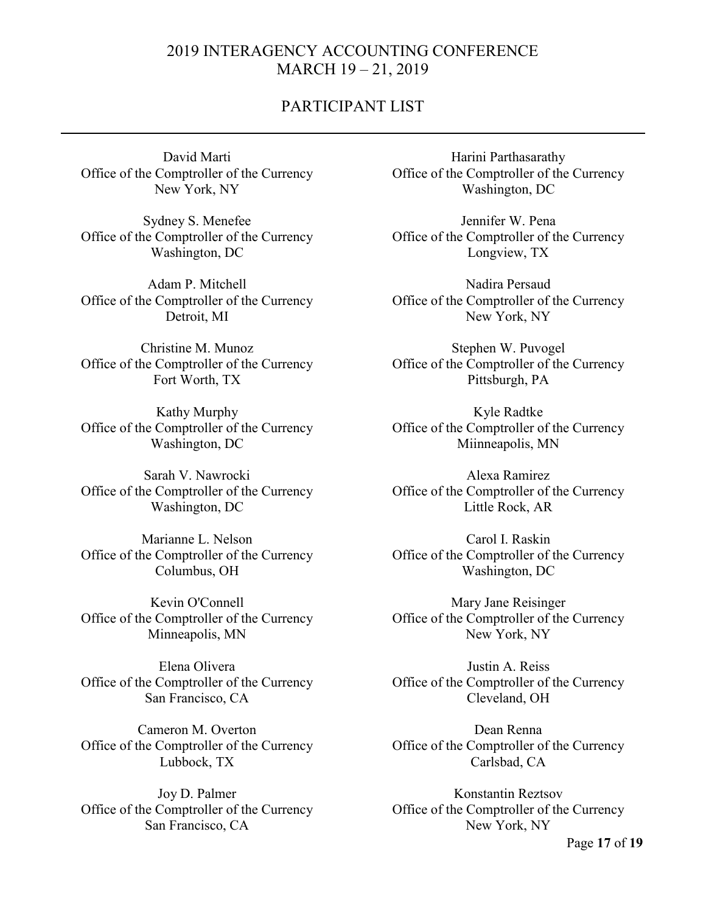### PARTICIPANT LIST

David Marti Office of the Comptroller of the Currency New York, NY

Sydney S. Menefee Office of the Comptroller of the Currency Washington, DC

Adam P. Mitchell Office of the Comptroller of the Currency Detroit, MI

Christine M. Munoz Office of the Comptroller of the Currency Fort Worth, TX

Kathy Murphy Office of the Comptroller of the Currency Washington, DC

Sarah V. Nawrocki Office of the Comptroller of the Currency Washington, DC

Marianne L. Nelson Office of the Comptroller of the Currency Columbus, OH

Kevin O'Connell Office of the Comptroller of the Currency Minneapolis, MN

Elena Olivera Office of the Comptroller of the Currency San Francisco, CA

Cameron M. Overton Office of the Comptroller of the Currency Lubbock, TX

Joy D. Palmer Office of the Comptroller of the Currency San Francisco, CA

Harini Parthasarathy Office of the Comptroller of the Currency Washington, DC

Jennifer W. Pena Office of the Comptroller of the Currency Longview, TX

Nadira Persaud Office of the Comptroller of the Currency New York, NY

Stephen W. Puvogel Office of the Comptroller of the Currency Pittsburgh, PA

Kyle Radtke Office of the Comptroller of the Currency Miinneapolis, MN

Alexa Ramirez Office of the Comptroller of the Currency Little Rock, AR

Carol I. Raskin Office of the Comptroller of the Currency Washington, DC

Mary Jane Reisinger Office of the Comptroller of the Currency New York, NY

Justin A. Reiss Office of the Comptroller of the Currency Cleveland, OH

Dean Renna Office of the Comptroller of the Currency Carlsbad, CA

Konstantin Reztsov Office of the Comptroller of the Currency New York, NY

Page **17** of **19**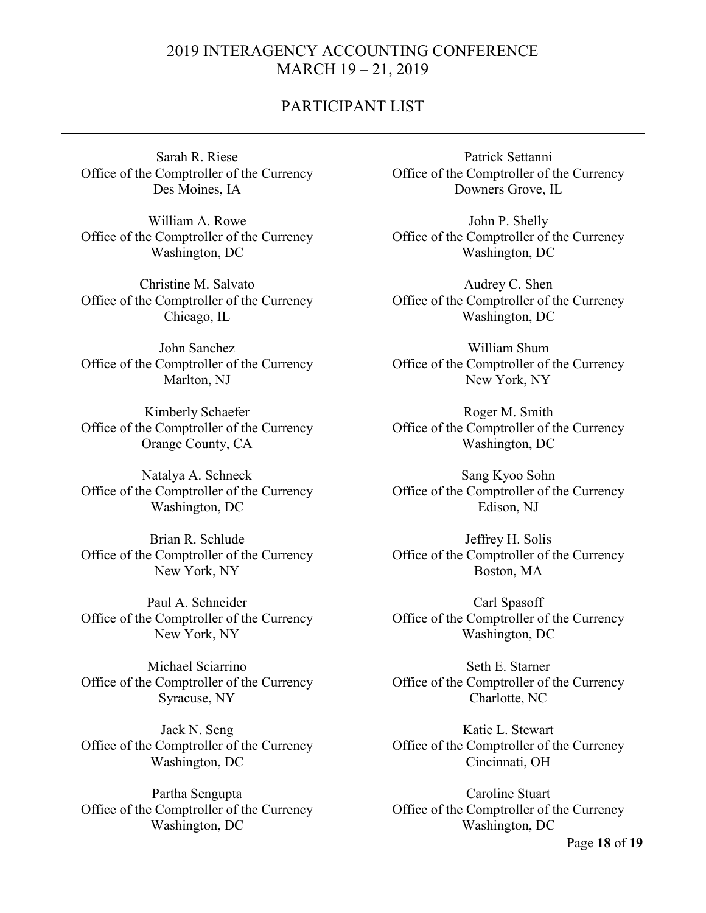### PARTICIPANT LIST

Sarah R. Riese Office of the Comptroller of the Currency Des Moines, IA

William A. Rowe Office of the Comptroller of the Currency Washington, DC

Christine M. Salvato Office of the Comptroller of the Currency Chicago, IL

John Sanchez Office of the Comptroller of the Currency Marlton, NJ

Kimberly Schaefer Office of the Comptroller of the Currency Orange County, CA

Natalya A. Schneck Office of the Comptroller of the Currency Washington, DC

Brian R. Schlude Office of the Comptroller of the Currency New York, NY

Paul A. Schneider Office of the Comptroller of the Currency New York, NY

Michael Sciarrino Office of the Comptroller of the Currency Syracuse, NY

Jack N. Seng Office of the Comptroller of the Currency Washington, DC

Partha Sengupta Office of the Comptroller of the Currency Washington, DC

Patrick Settanni Office of the Comptroller of the Currency Downers Grove, IL

John P. Shelly Office of the Comptroller of the Currency Washington, DC

Audrey C. Shen Office of the Comptroller of the Currency Washington, DC

William Shum Office of the Comptroller of the Currency New York, NY

Roger M. Smith Office of the Comptroller of the Currency Washington, DC

Sang Kyoo Sohn Office of the Comptroller of the Currency Edison, NJ

Jeffrey H. Solis Office of the Comptroller of the Currency Boston, MA

Carl Spasoff Office of the Comptroller of the Currency Washington, DC

Seth E. Starner Office of the Comptroller of the Currency Charlotte, NC

Katie L. Stewart Office of the Comptroller of the Currency Cincinnati, OH

Caroline Stuart Office of the Comptroller of the Currency Washington, DC

Page **18** of **19**